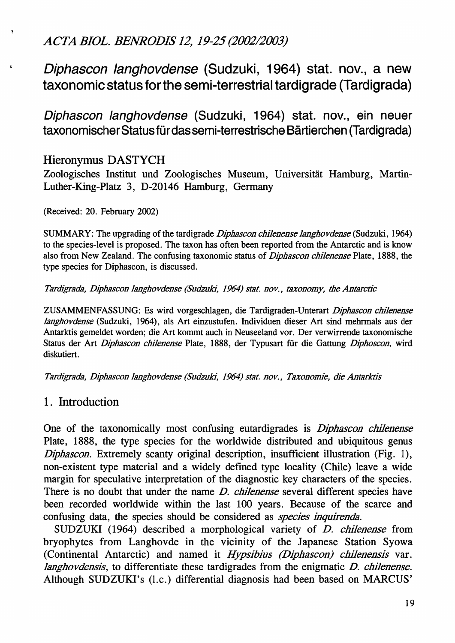*ACTA BIOL. BENRODIS* 12, 19-25*(2002/2003)*

Diphascon langhovdense (Sudzuki, 1964) stat. nov., a new taxonomic status forthe semi-terrestrial tardigrade (Tardigrada)

Diphascon langhovdense (Sudzuki, 1964) stat. nov., ein neuer taxonomischer Status für das semi-terrestrische Bärtierchen (Tardigrada)

# Hieronymus DASTYCH

Zoologisches Institut und Zoologisches Museum, Universität Hamburg, Martin-Luther-King-Platz 3, D-20146 Hamburg, Germany

(Received: 20. February 2002)

SUMMARY: The upgrading of the tardigrade *Diphascon chilenense langhovdense* (Sudzuki, 1964) to the species-level is proposed. The taxon has often been reported from the Antarctic and is know also from New Zealand. The confusing taxonomic status of *Diphascon chilenense* Plate, 1888, the type species for Diphascon, is discussed.

*Tardigrada, Diphascon langhovdense (Sudzuld,* 1964) *state nov., taxonomy, the Antarctic*

ZUSAMMENFASSUNG: Es wird vorgeschlagen, die Tardigraden-Unterart *Diphascon chilenense langhovdense* (Sudzuki, 1964), als Art einzustufen. Individuen dieser Art sind mehrmals aus der Antarktis gemeldet worden; die Art kommt auch in Neuseeland vor. Der verwirrende taxonomische Status der Art *Diphascon chilenense* Plate, 1888, der Typusart für die Gattung *Diphoscon*, wird diskutiert.

*Tardigrada, Diphascon langhovdense (Sudzuld,* J964) *state nov., Taxonomie, die Antarktis*

## 1. Introduction

One of the taxonomically most confusing eutardigrades is *Diphascon chilenense* Plate, 1888, the type species for the worldwide distributed and ubiquitous genus *Diphascon.* Extremely scanty original description, insufficient illustration (Fig. 1), non-existent type material and a widely defined type locality (Chile) leave a wide margin for speculative interpretation of the diagnostic key characters of the species. There is no doubt that under the name *D. chilenense* several different species have been recorded worldwide within the last 100 years. Because of the scarce and confusing data, the species should be considered as *species inquirenda*.

SUDZUKI (1964) described a morphological variety of *D. chilenense* from bryophytes from Langhovde in the vicinity of the Japanese Station Syowa (Continental Antarctic) and named it *Hypsibius (Diphascon) chilenensis* var. *langhovdensis,* to differentiate these tardigrades from the enigmatic *D. chilenense.* Although SUDZUKl's (I.e.) differential diagnosis had been based on MARCUS'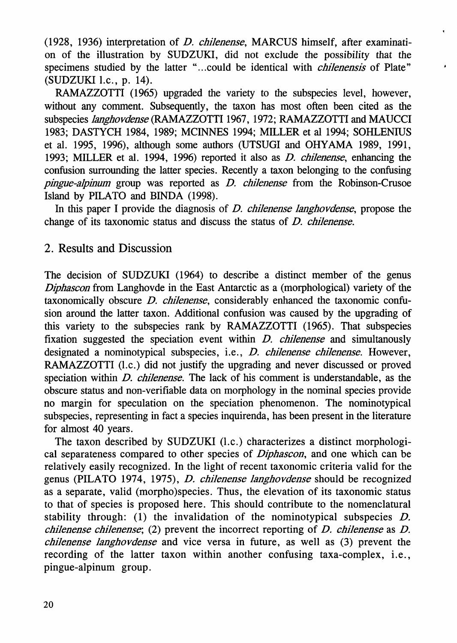(1928, 1936) interpretation of *D. chilenense,* MARCUS himself, after examination of the illustration by SUDZUKI, did not exclude the possibility that the specimens studied by the latter "...could be identical with *chilenensis* of Plate" (SUDZUKI I.c., p. 14).

 $\bullet$ 

RAMAZZOTTI (1965) upgraded the variety to the subspecies level, however, without any comment. Subsequently, the taxon has most often been cited as the subspecies *langhovdense* (RAMAZZOTTI 1967, 1972; RAMAZZOTTI and MAUCCI 1983; DASTYCH 1984, 1989; MCINNES 1994; MILLER et al 1994; SOHLENIUS et al. 1995, 1996), although some authors (UTSUGI and OHYAMA 1989, 1991, 1993; MILLER et al. 1994, 1996) reported it also as *D. chilenense,* enhancing the confusion surrounding the latter species. Recently a taxon belonging to the confusing *pingue-alpinum* group was reported as *D. chilenense* from the Robinson-Crusoe Island by PILATO and BINDA (1998).

In this paper I provide the diagnosis of *D. chilenense langhovdense,* propose the change of its taxonomic status and discuss the status of *D. chilenense.*

#### 2. Results and Discussion

The decision of SUDZUKI (1964) to describe a distinct member of the genus *Diphascon* from Langhovde in the East Antarctic as a (morphological) variety of the taxonomically obscure *D. chilenense,* considerably enhanced the taxonomic confusion around the latter taxon. Additional confusion was caused by the upgrading of this variety to the subspecies rank by RAMAZZOTTI (1965). That subspecies fixation suggested the speciation event within *D. chilenense* and simultanously designated a nominotypical subspecies, i.e., *D. chilenense chilenense.* However, RAMAZZOTTI (l.c.) did not justify the upgrading and never discussed or proved speciation within *D. chilenense.* The lack of his comment is understandable, as the obscure status and non-verifiable data on morphology in the nominal species provide no margin for speculation on the speciation phenomenon. The nominotypical subspecies, representing in fact a species inquirenda, has been present in the literature for almost 40 years.

The taxon described by SUDZUKI (I.e.) characterizes a distinct morphological separateness compared to other species of *Diphascon,* and one which can be relatively easily recognized. In the light of recent taxonomic criteria valid for the genus (PILATO 1974, 1975), *D. chilenense langhovdense* should be recognized as a separate, valid (morpho)species. Thus, the elevation of its taxonomic status to that of species is proposed here. This should contribute to the nomenclatural stability through: (1) the invalidation of the nominotypical subspecies  $D$ . *chilenense chilenense;* (2) prevent the incorrect reporting of *D. chilenense* as *D. chilenense Janghovdense* and vice versa in future, as well as (3) prevent the recording of the latter taxon within another confusing taxa-complex, i.e., pingue-alpinum group.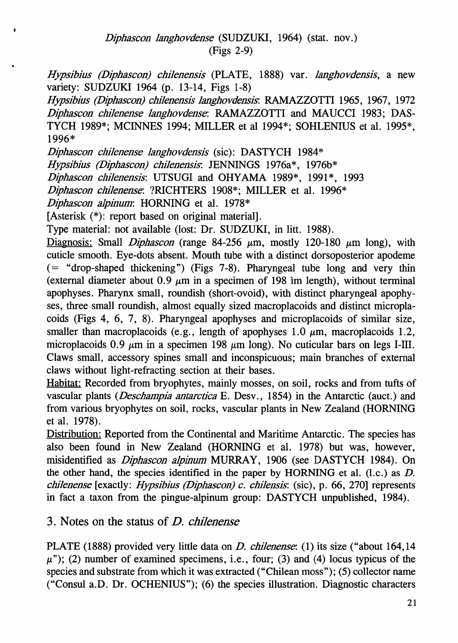*Hypsibius (Diphascon) chilenensis* (PLATE, 1888) var. *langhovdensis,* a new variety: SUDZUKI 1964 (p. 13-14, Figs 1-8)

*Hypsibius (Diphascon) chilenensis langhovdensis:* RAMAZZOTTI 1965, 1967, 1972 *Diphascon chilenense langhovdense:* RAMAZZOTTI and MAUCCI 1983; DAS-TYCH 1989\*; MCINNES 1994; MILLER et al 1994\*; SOHLENIUS et al. 1995\*, 1996\*

*Diphascon chilenense langhovdensis* (sic): DASTYCH 1984\*

*Hypsibius (Diphascon) chilenensis:* JENNINGS 1976a\*, 1976b\*

*Diphascon chilenensis:* UTSUGI and OHYAMA 1989\*, 1991\*, 1993

*Diphascon chilenense:* ?RICHTERS 1908\*; MILLER et al. 1996\*

*Diphascon aJpinum:* HORNING et al. 1978\*

[Asterisk (\*): report based on original material].

Type material: not available (lost: Dr. SUDZUKI, in litt. 1988).

Diagnosis: Small *Diphascon* (range 84-256  $\mu$ m, mostly 120-180  $\mu$ m long), with cuticle smooth. Eye-dots absent. Mouth tube with a distinct dorsoposterior apodeme (= "drop-shaped thickening") (Figs 7-8). Pharyngeal tube long and very thin (external diameter about 0.9  $\mu$ m in a specimen of 198 im length), without terminal apophyses. Pharynx small, roundish (short-ovoid), with distinct pharyngeal apophyses, three small roundish, almost equally sized macroplacoids and distinct microplacoids (Figs 4, 6, 7, 8). Pharyngeal apophyses and microplacoids of similar size, smaller than macroplacoids (e.g., length of apophyses 1.0  $\mu$ m, macroplacoids 1.2, microplacoids 0.9  $\mu$ m in a specimen 198  $\mu$ m long). No cuticular bars on legs I-III. Claws small, accessory spines small and inconspicuous; main branches of external claws without light-refracting section at their bases.

Habitat: Recorded from bryophytes, mainly mosses, on soil, rocks and from tufts of vascular plants *(Deschampia antarctica* E. Desv., 1854) in the Antarctic (auct.) and from various bryophytes on soil, rocks, vascular plants in New Zealand (HORNING et al. 1978).

Distribution: Reported from the Continental and Maritime Antarctic. The species has also been found in New Zealand (HORNING et al. 1978) but was, however, misidentified as *Diphascon aJpinum* MURRAY, 1906 (see DASTYCH 1984). On the other hand, the species identified in the paper by HORNING et al.  $(l.c.)$  as  $D$ . *chilenense* [exactly: *Hypsibius (Diphascon) c. chilensis:* (sic), p. 66, 270] represents in fact a taxon from the pingue-alpinum group: DASTYCH unpublished, 1984).

3. Notes on the status of *D. chilenense*

PLATE (1888) provided very little data on *D. chilenense*: (1) its size ("about 164,14"  $\mu$ "); (2) number of examined specimens, i.e., four; (3) and (4) locus typicus of the species and substrate from which it was extracted ("Chilean moss"); (5) collector name ("Consul a.D. Dr. OCHENIUS"); (6) the species illustration. Diagnostic characters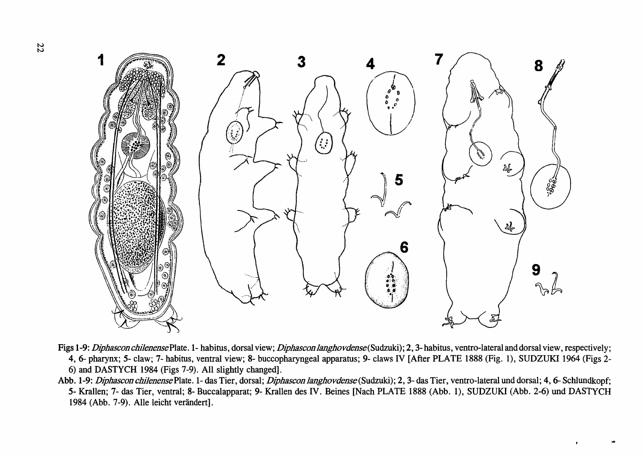

- Figs 1-9: Diphascon chilenense Plate. 1- habitus, dorsal view; Diphascon langhovdense (Sudzuki); 2, 3-habitus, ventro-lateral and dorsal view, respectively; 4, 6- pharynx; 5- claw; 7- habitus, ventral view; 8- buccopharyngeal apparatus; 9- claws IV [After PLATE 1888 (Fig. 1), SUDZUKI 1964 (Figs 2- 6) and DASTYCH 1984 (Figs 7-9). All slightly changed].
- Abb. 1-9: Diphascon chilenense Plate. 1- das Tier, dorsal; Diphascon langhovdense (Sudzuki); 2, 3- das Tier, ventro-lateral und dorsal; 4, 6- Schlundkopf; 5- KraIlen; 7- das Tier, ventral; 8- Buccalapparat; 9- Krallen des IV. Beines [Nach PLATE 1888 (Abb. 1), SUDZUKI (Abb. 2-6) und DASTYCH 1984 (Abb. 7-9). Alle leicht verändert].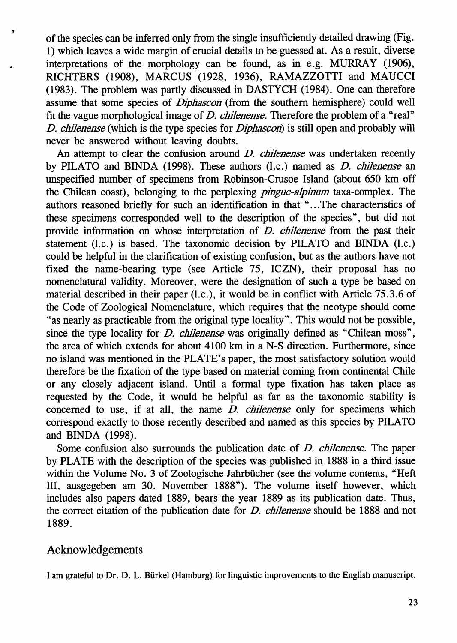ofthe species can be inferred only from the single insufficiently detailed drawing (Fig. 1) which leaves a wide margin of crucial details to be guessed at. As a result, diverse interpretations of the morphology can be found, as in e.g. MURRAY (1906), RICHTERS (1908), MARCUS (1928, 1936), RAMAZZOTTI and MAUCCI (1983). The problem was partly discussed in DASTYCH (1984). One can therefore assume that some species of *Diphascon* (from the southern hemisphere) could well fit the vague morphological image of *D. chilenense.* Therefore the problem of a "real" *D. chilenense* (which is the type species for *Diphascon)* is still open and probably will never be answered without leaving doubts.

An attempt to clear the confusion around *D. chilenense* was undertaken recently by PILATO and BINDA (1998). These authors (I.e.) named as *D. chilenense* an unspecified number of specimens from Robinson-Crusoe Island (about 650 km off the Chilean coast), belonging to the perplexing *pingue-alpinum* taxa-complex. The authors reasoned briefly for such an identification in that " ...The characteristics of these specimens corresponded well to the description of the species", but did not provide information on whose interpretation of *D. chilenense* from the past their statement (I.e.) is based. The taxonomic decision by PILATO and BINDA (I.e.) could be helpful in the clarification of existing confusion, but as the authors have not fixed the name-bearing type (see Article 75, ICZN), their proposal has no nomenclatural validity. Moreover, were the designation of such a type be based on material described in their paper (I.c.), it would be in conflict with Article 75.3.6 of the Code of Zoological Nomenclature, which requires that the neotype should come "as nearly as practicable from the original type locality". This would not be possible, since the type locality for *D. chilenense* was originally defined as "Chilean moss", the area of which extends for about 4100 km in a N-S direction. Furthermore, since no island was mentioned in the PLATE's paper, the most satisfactory solution would therefore be the fixation of the type based on material coming from continental Chile or any closely adjacent island. Until a formal type fixation has taken place as requested by the Code, it would be helpful as far as the taxonomic stability is concerned to use, if at all, the name *D. chilenense* only for specimens which correspond exactly to those recently described and named as this species by PILATO and BINDA (1998).

Some confusion also surrounds the publication date of *D. chilenense.* The paper by PLATE with the description of the species was published in 1888 in a third issue within the Volume No. 3 of Zoologische Jahrbiicher (see the volume contents, "Heft Ill, ausgegeben am 30. November 1888"). The volume itself however, which includes also papers dated 1889, bears the year 1889 as its publication date. Thus, the correct citation of the publication date for *D. chilenense* should be 1888 and not 1889.

## Acknowledgements

 $\mathbf{r}$ 

I am grateful to Dr. D. L. Biirkel (Hamburg) for linguistic improvements to the English manuscript.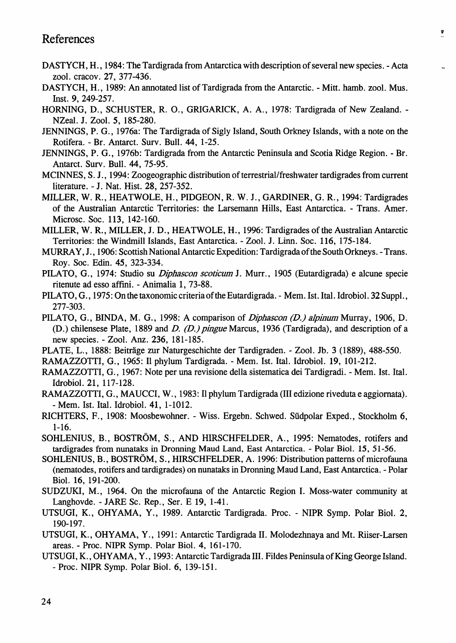## References

DASTYCH, H., 1984: The Tardigrada from Antarctica with description of several new species. - Acta zooI. cracov. 27, 377-436.

ú

- DASTYCH, H., 1989: An annotated list of Tardigrada from the Antarctic. Mitt. hamb. zool. Mus. Inst. 9, 249-257.
- HORNING, D., SCHUSTER, R. 0., GRIGARICK, A. A., 1978: Tardigrada of New Zealand. NZeaI. J. Zool. 5, 185-280.
- JENNINGS, P. G., 1976a: The Tardigrada of Sigly Island, South Orkney Islands, with a note on the Rotifera. - Br. Antarct. Surv. Bull. 44, 1-25.
- JENNINGS, P. G., 1976b: Tardigrada from the Antarctic Peninsula and Scotia Ridge Region. Br. Antarct. Surv. Bull. 44, 75-95.
- MCINNES, S. J., 1994: Zoogeographic distribution of terrestrial/freshwater tardigrades from current literature. - J. Nat. Hist. 28, 257-352.
- MILLER, W. R., HEATWOLE, H., PIDGEON, R. W. J., GARDINER, G. R., 1994: Tardigrades of the Australian Antarctic Territories: the Larsemann Hills, East Antarctica. - Trans. Amer. Microsc. Soc. 113, 142-160.
- MILLER, W. R., MILLER, J. D., HEATWOLE, H., 1996: Tardigrades ofthe Australian Antarctic Territories: the Windmill Islands, East Antarctica. - Zool. J. Linn. Soc. 116, 175-184.
- MURRAY, J., 1906: Scottish National Antarctic Expedition: Tardigrada ofthe South Orkneys. -Trans. Roy. Soc. Edin. 45, 323-334.
- PILATO, G., 1974: Studio su *Diphascon scoticum* J. Murr., 1905 (Eutardigrada) e alcune specie ritenute ad esso affini. - Animalia 1, 73-88.
- PILATO, G., 1975: On the taxonomic criteria ofthe Eutardigrada. Mem. 1st. Ital. Idrobiol. 32Suppl., 277-303.
- PILATO, G., BINDA, M. G., 1998: A comparison of *Diphascon (D.) alpinum* Murray, 1906, D. (D.) chilensese Plate, 1889 and *D. (D.) pingue* Marcus, 1936 (Tardigrada), and description of a new species. - Zool. Anz. 236, 181-185.
- PLATE, L., 1888: Beiträge zur Naturgeschichte der Tardigraden. Zool. Jb. 3 (1889), 488-550.

RAMAZZOTTI, G., 1965: II phylum Tardigrada. - Mem. 1st. ltal. IdrobioI. 19, 101-212.

RAMAZZOTTI, G., 1967: Note per una revisione della sistematica dei Tardigradi. - Mem. 1st. ltal. IdrobioI. 21, 117-128.

- RAMAZZOTTI, G., MAUCCI, W., 1983: II phylum Tardigrada (Ill edizione riveduta e aggiornata). - Mem. 1st. ltaI. Idrobiol. 41, 1-1012.
- RICHTERS, F., 1908: Moosbewohner. Wiss. Ergebn. Schwed. Siidpolar Exped., Stockholm 6, 1-16.
- SOHLENIUS, B., BOSTROM, S., AND HIRSCHFELDER, A., 1995: Nematodes, rotifers and tardigrades from nunataks in Dronning Maud Land, East Antarctica. - Polar BioI. 15, 51-56.
- SOHLENIUS, B., BOSTRÖM, S., HIRSCHFELDER, A. 1996: Distribution patterns of microfauna (nematodes, rotifers and tardigrades) on nunataks in Dronning Maud Land, East Antarctica. - Polar BioI. 16, 191-200.
- SUDZUKI, M., 1964. On the microfauna of the Antarctic Region I. Moss-water community at Langhovde. - JARE Sc. Rep., Ser. E 19, 1-41.
- UTSUGI, K., OHYAMA, Y., 1989. Antarctic Tardigrada. Proc. NIPR Symp. Polar BioI. 2, 190-197.
- UTSUGI, K., OHYAMA, Y., 1991: Antarctic Tardigrada 11. Molodezhnaya and Mt. Riiser-Larsen areas. - Proe. NIPR Symp. Polar BioI. 4, 161-170.
- UTSUGI, K., OHYAMA, Y., 1993: Antarctic Tardigrada III. Fildes Peninsula of King George Island. - Proc. NIPR Symp. Polar BioI. 6, 139-151.